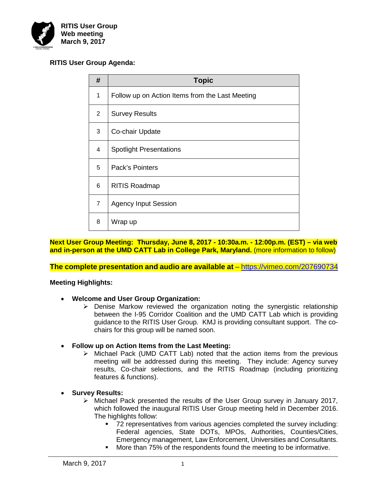

# **RITIS User Group Agenda:**

| #              | <b>Topic</b>                                    |
|----------------|-------------------------------------------------|
| 1              | Follow up on Action Items from the Last Meeting |
| $\overline{2}$ | <b>Survey Results</b>                           |
| 3              | Co-chair Update                                 |
| 4              | <b>Spotlight Presentations</b>                  |
| 5              | Pack's Pointers                                 |
| 6              | <b>RITIS Roadmap</b>                            |
| $\overline{7}$ | <b>Agency Input Session</b>                     |
| 8              | Wrap up                                         |

**Next User Group Meeting: Thursday, June 8, 2017 - 10:30a.m. - 12:00p.m. (EST) – via web and in-person at the UMD CATT Lab in College Park, Maryland.** (more information to follow)

**The complete presentation and audio are available at** – <https://vimeo.com/207690734>

## **Meeting Highlights:**

- **Welcome and User Group Organization:**
	- $\triangleright$  Denise Markow reviewed the organization noting the synergistic relationship between the I-95 Corridor Coalition and the UMD CATT Lab which is providing guidance to the RITIS User Group. KMJ is providing consultant support. The cochairs for this group will be named soon.
- **Follow up on Action Items from the Last Meeting:** 
	- $\triangleright$  Michael Pack (UMD CATT Lab) noted that the action items from the previous meeting will be addressed during this meeting. They include: Agency survey results, Co-chair selections, and the RITIS Roadmap (including prioritizing features & functions).

## • **Survey Results:**

- $\triangleright$  Michael Pack presented the results of the User Group survey in January 2017, which followed the inaugural RITIS User Group meeting held in December 2016. The highlights follow:
	- 72 representatives from various agencies completed the survey including: Federal agencies, State DOTs, MPOs, Authorities, Counties/Cities, Emergency management, Law Enforcement, Universities and Consultants.
	- More than 75% of the respondents found the meeting to be informative.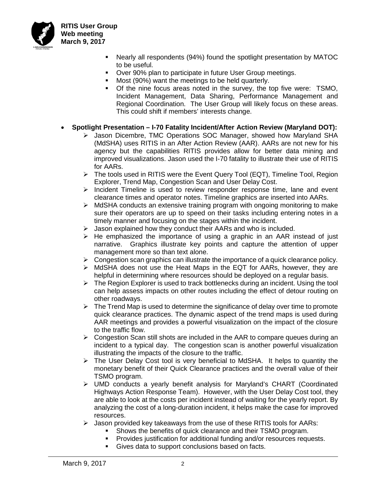

**RITIS User Group Web meeting March 9, 2017**

- Nearly all respondents (94%) found the spotlight presentation by MATOC to be useful.
- **Over 90% plan to participate in future User Group meetings.**
- **Most (90%) want the meetings to be held quarterly.**
- Of the nine focus areas noted in the survey, the top five were: TSMO, Incident Management, Data Sharing, Performance Management and Regional Coordination. The User Group will likely focus on these areas. This could shift if members' interests change.
- **Spotlight Presentation – I-70 Fatality Incident/After Action Review (Maryland DOT):**
	- Jason Dicembre, TMC Operations SOC Manager, showed how Maryland SHA (MdSHA) uses RITIS in an After Action Review (AAR). AARs are not new for his agency but the capabilities RITIS provides allow for better data mining and improved visualizations. Jason used the I-70 fatality to illustrate their use of RITIS for AARs.
	- $\triangleright$  The tools used in RITIS were the Event Query Tool (EQT), Timeline Tool, Region Explorer, Trend Map, Congestion Scan and User Delay Cost.
	- $\triangleright$  Incident Timeline is used to review responder response time, lane and event clearance times and operator notes. Timeline graphics are inserted into AARs.
	- $\triangleright$  MdSHA conducts an extensive training program with ongoing monitoring to make sure their operators are up to speed on their tasks including entering notes in a timely manner and focusing on the stages within the incident.
	- $\triangleright$  Jason explained how they conduct their AARs and who is included.
	- $\triangleright$  He emphasized the importance of using a graphic in an AAR instead of just narrative. Graphics illustrate key points and capture the attention of upper management more so than text alone.
	- $\triangleright$  Congestion scan graphics can illustrate the importance of a quick clearance policy.
	- $\triangleright$  MdSHA does not use the Heat Maps in the EQT for AARs, however, they are helpful in determining where resources should be deployed on a regular basis.
	- $\triangleright$  The Region Explorer is used to track bottlenecks during an incident. Using the tool can help assess impacts on other routes including the effect of detour routing on other roadways.
	- $\triangleright$  The Trend Map is used to determine the significance of delay over time to promote quick clearance practices. The dynamic aspect of the trend maps is used during AAR meetings and provides a powerful visualization on the impact of the closure to the traffic flow.
	- $\triangleright$  Congestion Scan still shots are included in the AAR to compare queues during an incident to a typical day. The congestion scan is another powerful visualization illustrating the impacts of the closure to the traffic.
	- $\triangleright$  The User Delay Cost tool is very beneficial to MdSHA. It helps to quantity the monetary benefit of their Quick Clearance practices and the overall value of their TSMO program.
	- UMD conducts a yearly benefit analysis for Maryland's CHART (Coordinated Highways Action Response Team). However, with the User Delay Cost tool, they are able to look at the costs per incident instead of waiting for the yearly report. By analyzing the cost of a long-duration incident, it helps make the case for improved resources.
	- $\triangleright$  Jason provided key takeaways from the use of these RITIS tools for AARs:
		- Shows the benefits of quick clearance and their TSMO program.
		- Provides justification for additional funding and/or resources requests.
		- Gives data to support conclusions based on facts.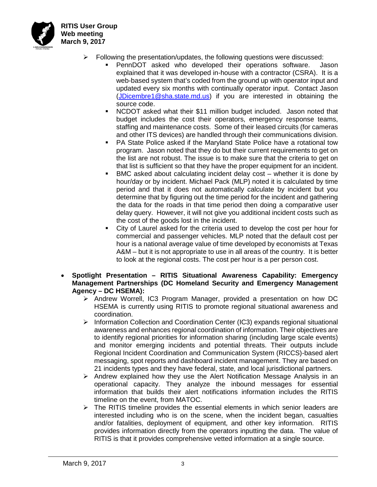

**RITIS User Group Web meeting March 9, 2017**

- $\triangleright$  Following the presentation/updates, the following questions were discussed:
	- PennDOT asked who developed their operations software. Jason explained that it was developed in-house with a contractor (CSRA). It is a web-based system that's coded from the ground up with operator input and updated every six months with continually operator input. Contact Jason [\(JDicembre1@sha.state.md.us\)](mailto:JDicembre1@sha.state.md.us) if you are interested in obtaining the source code.
	- NCDOT asked what their \$11 million budget included. Jason noted that budget includes the cost their operators, emergency response teams, staffing and maintenance costs. Some of their leased circuits (for cameras and other ITS devices) are handled through their communications division.
	- PA State Police asked if the Maryland State Police have a rotational tow program. Jason noted that they do but their current requirements to get on the list are not robust. The issue is to make sure that the criteria to get on that list is sufficient so that they have the proper equipment for an incident.
	- BMC asked about calculating incident delay cost whether it is done by hour/day or by incident. Michael Pack (MLP) noted it is calculated by time period and that it does not automatically calculate by incident but you determine that by figuring out the time period for the incident and gathering the data for the roads in that time period then doing a comparative user delay query. However, it will not give you additional incident costs such as the cost of the goods lost in the incident.
	- City of Laurel asked for the criteria used to develop the cost per hour for commercial and passenger vehicles. MLP noted that the default cost per hour is a national average value of time developed by economists at Texas A&M – but it is not appropriate to use in all areas of the country. It is better to look at the regional costs. The cost per hour is a per person cost.
- **Spotlight Presentation – RITIS Situational Awareness Capability: Emergency Management Partnerships (DC Homeland Security and Emergency Management Agency – DC HSEMA):**
	- > Andrew Worrell, IC3 Program Manager, provided a presentation on how DC HSEMA is currently using RITIS to promote regional situational awareness and coordination.
	- $\triangleright$  Information Collection and Coordination Center (IC3) expands regional situational awareness and enhances regional coordination of information. Their objectives are to identify regional priorities for information sharing (including large scale events) and monitor emerging incidents and potential threats. Their outputs include Regional Incident Coordination and Communication System (RICCS)-based alert messaging, spot reports and dashboard incident management. They are based on 21 incidents types and they have federal, state, and local jurisdictional partners.
	- $\triangleright$  Andrew explained how they use the Alert Notification Message Analysis in an operational capacity. They analyze the inbound messages for essential information that builds their alert notifications information includes the RITIS timeline on the event, from MATOC.
	- $\triangleright$  The RITIS timeline provides the essential elements in which senior leaders are interested including who is on the scene, when the incident began, casualties and/or fatalities, deployment of equipment, and other key information. RITIS provides information directly from the operators inputting the data. The value of RITIS is that it provides comprehensive vetted information at a single source.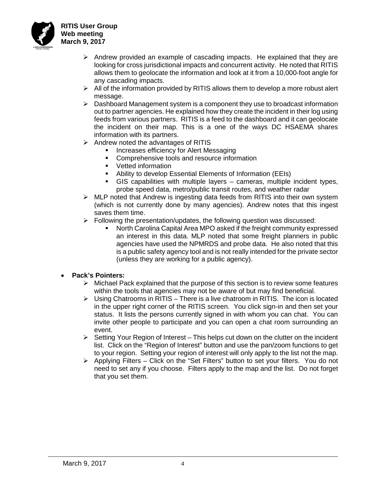

- $\triangleright$  Andrew provided an example of cascading impacts. He explained that they are looking for cross jurisdictional impacts and concurrent activity. He noted that RITIS allows them to geolocate the information and look at it from a 10,000-foot angle for any cascading impacts.
- $\triangleright$  All of the information provided by RITIS allows them to develop a more robust alert message.
- $\triangleright$  Dashboard Management system is a component they use to broadcast information out to partner agencies. He explained how they create the incident in their log using feeds from various partners. RITIS is a feed to the dashboard and it can geolocate the incident on their map. This is a one of the ways DC HSAEMA shares information with its partners.
- $\triangleright$  Andrew noted the advantages of RITIS
	- **Increases efficiency for Alert Messaging**
	- **Comprehensive tools and resource information**
	- **•** Vetted information
	- Ability to develop Essential Elements of Information (EEIs)
	- GIS capabilities with multiple layers cameras, multiple incident types, probe speed data, metro/public transit routes, and weather radar
- $\triangleright$  MLP noted that Andrew is ingesting data feeds from RITIS into their own system (which is not currently done by many agencies). Andrew notes that this ingest saves them time.
- $\triangleright$  Following the presentation/updates, the following question was discussed:
	- North Carolina Capital Area MPO asked if the freight community expressed an interest in this data. MLP noted that some freight planners in public agencies have used the NPMRDS and probe data. He also noted that this is a public safety agency tool and is not really intended for the private sector (unless they are working for a public agency).

## • **Pack's Pointers:**

- $\triangleright$  Michael Pack explained that the purpose of this section is to review some features within the tools that agencies may not be aware of but may find beneficial.
- $\triangleright$  Using Chatrooms in RITIS There is a live chatroom in RITIS. The icon is located in the upper right corner of the RITIS screen. You click sign-in and then set your status. It lists the persons currently signed in with whom you can chat. You can invite other people to participate and you can open a chat room surrounding an event.
- $\triangleright$  Setting Your Region of Interest This helps cut down on the clutter on the incident list. Click on the "Region of Interest" button and use the pan/zoom functions to get to your region. Setting your region of interest will only apply to the list not the map.
- $\triangleright$  Applying Filters Click on the "Set Filters" button to set your filters. You do not need to set any if you choose. Filters apply to the map and the list. Do not forget that you set them.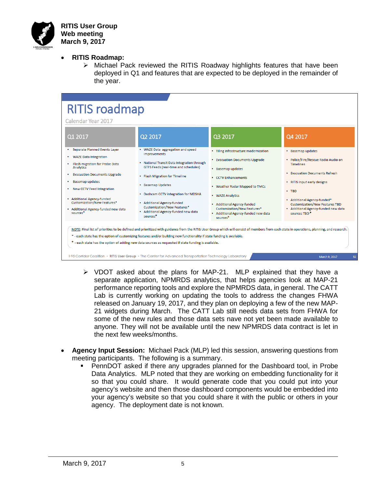

- **RITIS Roadmap:**
	- $\triangleright$  Michael Pack reviewed the RITIS Roadway highlights features that have been deployed in Q1 and features that are expected to be deployed in the remainder of the year.



- $\triangleright$  VDOT asked about the plans for MAP-21. MLP explained that they have a separate application, NPMRDS analytics, that helps agencies look at MAP-21 performance reporting tools and explore the NPMRDS data, in general. The CATT Lab is currently working on updating the tools to address the changes FHWA released on January 19, 2017, and they plan on deploying a few of the new MAP-21 widgets during March. The CATT Lab still needs data sets from FHWA for some of the new rules and those data sets nave not yet been made available to anyone. They will not be available until the new NPMRDS data contract is let in the next few weeks/months.
- **Agency Input Session:** Michael Pack (MLP) led this session, answering questions from meeting participants. The following is a summary.
	- PennDOT asked if there any upgrades planned for the Dashboard tool, in Probe Data Analytics. MLP noted that they are working on embedding functionality for it so that you could share. It would generate code that you could put into your agency's website and then those dashboard components would be embedded into your agency's website so that you could share it with the public or others in your agency. The deployment date is not known.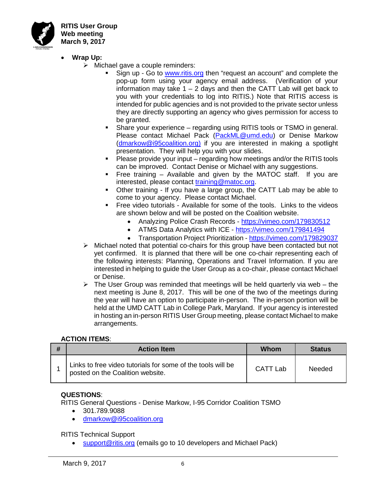

**RITIS User Group Web meeting March 9, 2017**

- **Wrap Up:**
	- $\triangleright$  Michael gave a couple reminders:
		- Sign up Go to [www.ritis.org](http://www.ritis.org/) then "request an account" and complete the pop-up form using your agency email address. (Verification of your information may take  $1 - 2$  days and then the CATT Lab will get back to you with your credentials to log into RITIS.) Note that RITIS access is intended for public agencies and is not provided to the private sector unless they are directly supporting an agency who gives permission for access to be granted.
		- Share your experience regarding using RITIS tools or TSMO in general. Please contact Michael Pack [\(PackML@umd.edu\)](mailto:PackML@umd.edu) or Denise Markow [\(dmarkow@i95coalition.org\)](mailto:dmarkow@i95coalition.org) if you are interested in making a spotlight presentation. They will help you with your slides.
		- Please provide your input regarding how meetings and/or the RITIS tools can be improved. Contact Denise or Michael with any suggestions.
		- Free training Available and given by the MATOC staff. If you are interested, please contact [training@matoc.org.](mailto:training@matoc.org)
		- Other training If you have a large group, the CATT Lab may be able to come to your agency. Please contact Michael.
		- Free video tutorials Available for some of the tools. Links to the videos are shown below and will be posted on the Coalition website.
			- Analyzing Police Crash Records <https://vimeo.com/179830512>
			- ATMS Data Analytics with ICE <https://vimeo.com/179841494>
			- Transportation Project Prioritization <https://vimeo.com/179829037>
	- $\triangleright$  Michael noted that potential co-chairs for this group have been contacted but not yet confirmed. It is planned that there will be one co-chair representing each of the following interests: Planning, Operations and Travel Information. If you are interested in helping to guide the User Group as a co-chair, please contact Michael or Denise.
	- $\triangleright$  The User Group was reminded that meetings will be held quarterly via web the next meeting is June 8, 2017. This will be one of the two of the meetings during the year will have an option to participate in-person. The in-person portion will be held at the UMD CATT Lab in College Park, Maryland. If your agency is interested in hosting an in-person RITIS User Group meeting, please contact Michael to make arrangements.

## **ACTION ITEMS**:

| <b>Action Item</b>                                                                              | Whom     | <b>Status</b> |
|-------------------------------------------------------------------------------------------------|----------|---------------|
| Links to free video tutorials for some of the tools will be<br>posted on the Coalition website. | CATT Lab | <b>Needed</b> |

## **QUESTIONS**:

RITIS General Questions - Denise Markow, I-95 Corridor Coalition TSMO

- 301.789.9088
- [dmarkow@i95coalition.org](mailto:dmarkow@i95coalition.org)

RITIS Technical Support

[support@ritis.org](mailto:support@ritis.org) (emails go to 10 developers and Michael Pack)